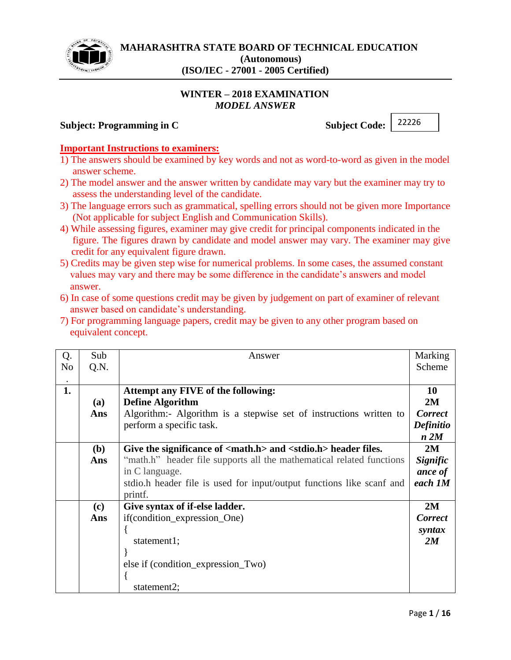

## **WINTER – 2018 EXAMINATION** *MODEL ANSWER*

### **Subject: Programming in C** Subject Code:

22226

## **Important Instructions to examiners:**

- 1) The answers should be examined by key words and not as word-to-word as given in the model answer scheme.
- 2) The model answer and the answer written by candidate may vary but the examiner may try to assess the understanding level of the candidate.
- 3) The language errors such as grammatical, spelling errors should not be given more Importance (Not applicable for subject English and Communication Skills).
- 4) While assessing figures, examiner may give credit for principal components indicated in the figure. The figures drawn by candidate and model answer may vary. The examiner may give credit for any equivalent figure drawn.
- 5) Credits may be given step wise for numerical problems. In some cases, the assumed constant values may vary and there may be some difference in the candidate's answers and model answer.
- 6) In case of some questions credit may be given by judgement on part of examiner of relevant answer based on candidate's understanding.
- 7) For programming language papers, credit may be given to any other program based on equivalent concept.

| Q.<br>N <sub>0</sub> | Sub<br>Q.N. | Answer                                                                           | Marking<br>Scheme |
|----------------------|-------------|----------------------------------------------------------------------------------|-------------------|
|                      |             |                                                                                  |                   |
| 1.                   |             | Attempt any FIVE of the following:                                               | <b>10</b>         |
|                      | (a)         | <b>Define Algorithm</b>                                                          | 2M                |
|                      | Ans         | Algorithm:- Algorithm is a stepwise set of instructions written to               | <b>Correct</b>    |
|                      |             | perform a specific task.                                                         | <b>Definitio</b>  |
|                      |             |                                                                                  | n 2M              |
|                      | (b)         | Give the significance of <math.h> and <stdio.h> header files.</stdio.h></math.h> | 2M                |
|                      | Ans         | "math.h" header file supports all the mathematical related functions             | Signific          |
|                      |             | in C language.                                                                   | ance of           |
|                      |             | stdio.h header file is used for input/output functions like scanf and            | each 1M           |
|                      |             | printf.                                                                          |                   |
|                      | (c)         | Give syntax of if-else ladder.                                                   | 2M                |
|                      | Ans         | if(condition_expression_One)                                                     | <b>Correct</b>    |
|                      |             |                                                                                  | syntax            |
|                      |             | statement1;                                                                      | 2M                |
|                      |             |                                                                                  |                   |
|                      |             | else if (condition_expression_Two)                                               |                   |
|                      |             |                                                                                  |                   |
|                      |             | statement2;                                                                      |                   |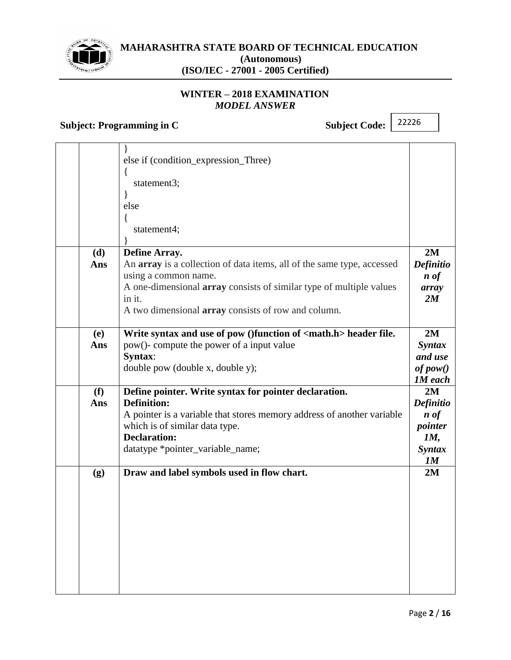

## **WINTER – 2018 EXAMINATION** *MODEL ANSWER*

# **Subject: Programming in C** Subject Code:

| else if (condition_expression_Three)<br>$\{$<br>statement3;<br>else                            |
|------------------------------------------------------------------------------------------------|
|                                                                                                |
|                                                                                                |
|                                                                                                |
|                                                                                                |
|                                                                                                |
| ł                                                                                              |
| statement4;                                                                                    |
|                                                                                                |
| 2M<br>(d)<br>Define Array.                                                                     |
| An array is a collection of data items, all of the same type, accessed<br>Definitio<br>Ans     |
| using a common name.<br>$\boldsymbol{n}$ of                                                    |
| A one-dimensional <b>array</b> consists of similar type of multiple values<br>array            |
| in it.<br>2M                                                                                   |
| A two dimensional <b>array</b> consists of row and column.                                     |
|                                                                                                |
| Write syntax and use of pow ()function of <math.h> header file.<br/>2M<br/><b>(e)</b></math.h> |
| pow()- compute the power of a input value<br><b>Syntax</b><br>Ans                              |
| Syntax:<br>and use                                                                             |
| double pow (double x, double y);<br>of pow()                                                   |
| <b>1M</b> each                                                                                 |
| Define pointer. Write syntax for pointer declaration.<br>2M<br>(f)                             |
| <b>Definition:</b><br><b>Definitio</b><br>Ans                                                  |
| A pointer is a variable that stores memory address of another variable<br>$\boldsymbol{n}$ of  |
| which is of similar data type.<br>pointer                                                      |
| <b>Declaration:</b><br>1M,                                                                     |
| datatype *pointer_variable_name;<br><i>Syntax</i>                                              |
| 1M                                                                                             |
| Draw and label symbols used in flow chart.<br>2M<br>(g)                                        |
|                                                                                                |
|                                                                                                |
|                                                                                                |
|                                                                                                |
|                                                                                                |
|                                                                                                |
|                                                                                                |
|                                                                                                |
|                                                                                                |
|                                                                                                |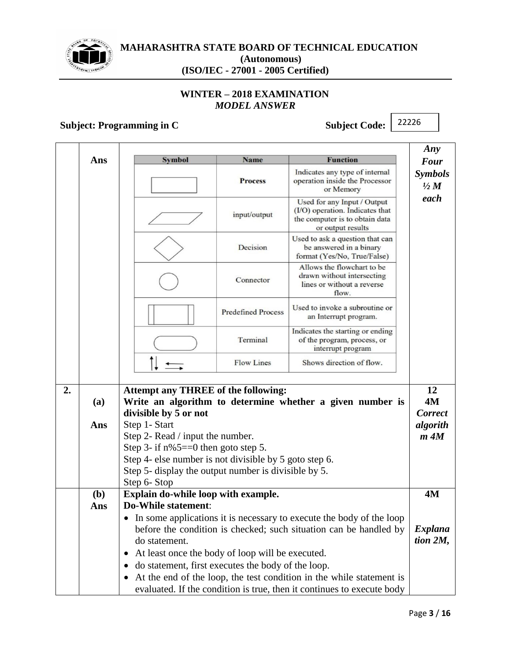

## **WINTER – 2018 EXAMINATION** *MODEL ANSWER*

# **Subject: Programming in C** Subject Code:

|    |     |                                                                      |                           |                                                                                                                       | Any                              |
|----|-----|----------------------------------------------------------------------|---------------------------|-----------------------------------------------------------------------------------------------------------------------|----------------------------------|
|    | Ans | <b>Symbol</b>                                                        | <b>Name</b>               | <b>Function</b>                                                                                                       | <b>Four</b>                      |
|    |     |                                                                      | <b>Process</b>            | Indicates any type of internal<br>operation inside the Processor<br>or Memory                                         | <b>Symbols</b><br>$\frac{1}{2}M$ |
|    |     |                                                                      | input/output              | Used for any Input / Output<br>(I/O) operation. Indicates that<br>the computer is to obtain data<br>or output results | each                             |
|    |     |                                                                      | Decision                  | Used to ask a question that can<br>be answered in a binary<br>format (Yes/No, True/False)                             |                                  |
|    |     |                                                                      | Connector                 | Allows the flowchart to be<br>drawn without intersecting<br>lines or without a reverse<br>flow.                       |                                  |
|    |     |                                                                      | <b>Predefined Process</b> | Used to invoke a subroutine or<br>an Interrupt program.                                                               |                                  |
|    |     |                                                                      | Terminal                  | Indicates the starting or ending<br>of the program, process, or<br>interrupt program                                  |                                  |
|    |     |                                                                      | <b>Flow Lines</b>         | Shows direction of flow.                                                                                              |                                  |
| 2. |     | <b>Attempt any THREE of the following:</b>                           |                           |                                                                                                                       | 12                               |
|    | (a) |                                                                      |                           | Write an algorithm to determine whether a given number is                                                             | 4M                               |
|    |     | divisible by 5 or not                                                |                           |                                                                                                                       | <b>Correct</b>                   |
|    | Ans | Step 1- Start                                                        |                           |                                                                                                                       | algorith                         |
|    |     | Step 2- Read / input the number.                                     |                           |                                                                                                                       | $m$ $4M$                         |
|    |     | Step 3- if $n\%$ 5==0 then goto step 5.                              |                           |                                                                                                                       |                                  |
|    |     | Step 4- else number is not divisible by 5 goto step 6.               |                           |                                                                                                                       |                                  |
|    |     | Step 5- display the output number is divisible by 5.<br>Step 6- Stop |                           |                                                                                                                       |                                  |
|    | (b) | Explain do-while loop with example.                                  |                           |                                                                                                                       | 4M                               |
|    | Ans | <b>Do-While statement:</b>                                           |                           |                                                                                                                       |                                  |
|    |     |                                                                      |                           | • In some applications it is necessary to execute the body of the loop                                                |                                  |
|    |     |                                                                      |                           | before the condition is checked; such situation can be handled by                                                     | <i>Explana</i>                   |
|    |     | do statement.                                                        |                           |                                                                                                                       | tion $2M$ ,                      |
|    |     | At least once the body of loop will be executed.<br>$\bullet$        |                           |                                                                                                                       |                                  |
|    |     | do statement, first executes the body of the loop.<br>$\bullet$      |                           |                                                                                                                       |                                  |
|    |     | $\bullet$                                                            |                           | At the end of the loop, the test condition in the while statement is                                                  |                                  |
|    |     |                                                                      |                           | evaluated. If the condition is true, then it continues to execute body                                                |                                  |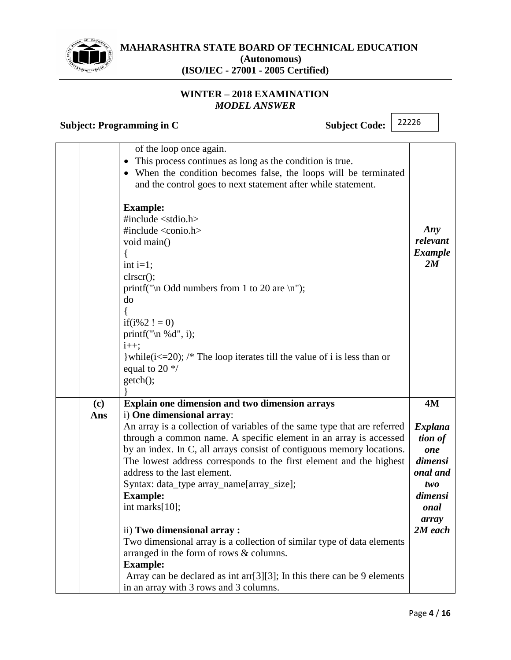

## **WINTER – 2018 EXAMINATION** *MODEL ANSWER*

**Subject: Programming in C** Subject Code:

|            | of the loop once again.<br>This process continues as long as the condition is true.<br>When the condition becomes false, the loops will be terminated<br>and the control goes to next statement after while statement.                                                                                                                                                                                                                                                                                                                                                                                                                                                                                                                                                                               |                                                                                                             |
|------------|------------------------------------------------------------------------------------------------------------------------------------------------------------------------------------------------------------------------------------------------------------------------------------------------------------------------------------------------------------------------------------------------------------------------------------------------------------------------------------------------------------------------------------------------------------------------------------------------------------------------------------------------------------------------------------------------------------------------------------------------------------------------------------------------------|-------------------------------------------------------------------------------------------------------------|
|            | <b>Example:</b><br>#include $\lt$ stdio.h><br>#include $\langle$ conio.h $>$<br>void main()<br>int $i=1$ ;<br>clrscr();<br>printf("\n Odd numbers from 1 to 20 are \n");<br>do<br>if( $i\%2$ ! = 0)<br>printf(" $\ln \% d$ ", i);<br>$i++;$<br>} while $(i \le 20)$ ; /* The loop iterates till the value of i is less than or<br>equal to 20 $\frac{*}{ }$<br>getch();                                                                                                                                                                                                                                                                                                                                                                                                                              | Any<br>relevant<br><b>Example</b><br>2M                                                                     |
|            |                                                                                                                                                                                                                                                                                                                                                                                                                                                                                                                                                                                                                                                                                                                                                                                                      |                                                                                                             |
| (c)<br>Ans | <b>Explain one dimension and two dimension arrays</b><br>i) One dimensional array:<br>An array is a collection of variables of the same type that are referred<br>through a common name. A specific element in an array is accessed<br>by an index. In C, all arrays consist of contiguous memory locations.<br>The lowest address corresponds to the first element and the highest<br>address to the last element.<br>Syntax: data_type array_name[array_size];<br><b>Example:</b><br>int marks[10];<br>ii) Two dimensional array:<br>Two dimensional array is a collection of similar type of data elements<br>arranged in the form of rows & columns.<br><b>Example:</b><br>Array can be declared as int arr $[3][3]$ ; In this there can be 9 elements<br>in an array with 3 rows and 3 columns. | <b>4M</b><br>Explana<br>tion of<br>one<br>dimensi<br>onal and<br>two<br>dimensi<br>onal<br>array<br>2M each |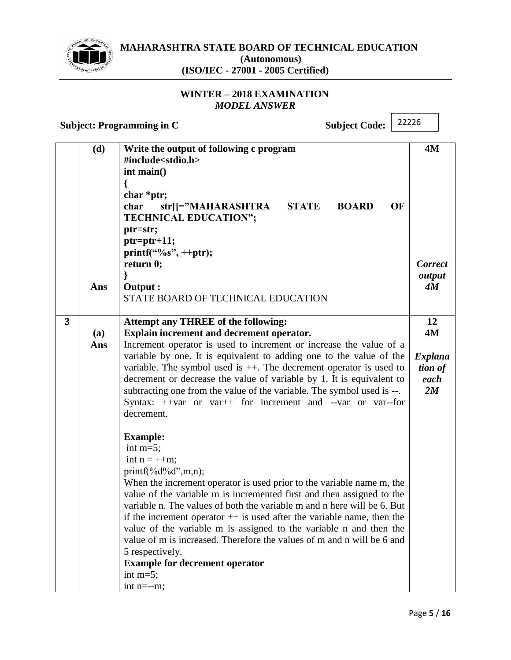

## **WINTER – 2018 EXAMINATION** *MODEL ANSWER*

**Subject: Programming in C** Subject Code:

|   | (d) | Write the output of following c program<br>#include <stdio.h><br/>int main()<br/>char *ptr;<br/><b>BOARD</b><br/>OF</stdio.h>                    | <b>4M</b>                |
|---|-----|--------------------------------------------------------------------------------------------------------------------------------------------------|--------------------------|
|   |     | str[]="MAHARASHTRA<br><b>STATE</b><br>char<br><b>TECHNICAL EDUCATION";</b><br>ptr=str;                                                           |                          |
|   |     | ptr=ptr+11;<br>printf("%s", ++ptr);                                                                                                              |                          |
|   |     | return 0;                                                                                                                                        | <b>Correct</b><br>output |
|   | Ans | Output :<br>STATE BOARD OF TECHNICAL EDUCATION                                                                                                   | 4M                       |
| 3 | (a) | <b>Attempt any THREE of the following:</b><br>Explain increment and decrement operator.                                                          | 12<br><b>4M</b>          |
|   | Ans | Increment operator is used to increment or increase the value of a<br>variable by one. It is equivalent to adding one to the value of the        | <b>Explana</b>           |
|   |     | variable. The symbol used is $++$ . The decrement operator is used to                                                                            | tion of                  |
|   |     | decrement or decrease the value of variable by 1. It is equivalent to<br>subtracting one from the value of the variable. The symbol used is --.  | each<br>2M               |
|   |     | Syntax: ++var or var++ for increment and --var or var-for<br>decrement.                                                                          |                          |
|   |     | <b>Example:</b><br>int $m=5$ ;                                                                                                                   |                          |
|   |     | int $n = ++m$ ;                                                                                                                                  |                          |
|   |     | $printf(\frac{9}{d}d, m, n);$<br>When the increment operator is used prior to the variable name m, the                                           |                          |
|   |     | value of the variable m is incremented first and then assigned to the<br>variable n. The values of both the variable m and n here will be 6. But |                          |
|   |     | if the increment operator $++$ is used after the variable name, then the                                                                         |                          |
|   |     | value of the variable m is assigned to the variable n and then the<br>value of m is increased. Therefore the values of m and n will be 6 and     |                          |
|   |     | 5 respectively.                                                                                                                                  |                          |
|   |     | <b>Example for decrement operator</b><br>int $m=5$ ;                                                                                             |                          |
|   |     | int $n=-m$ ;                                                                                                                                     |                          |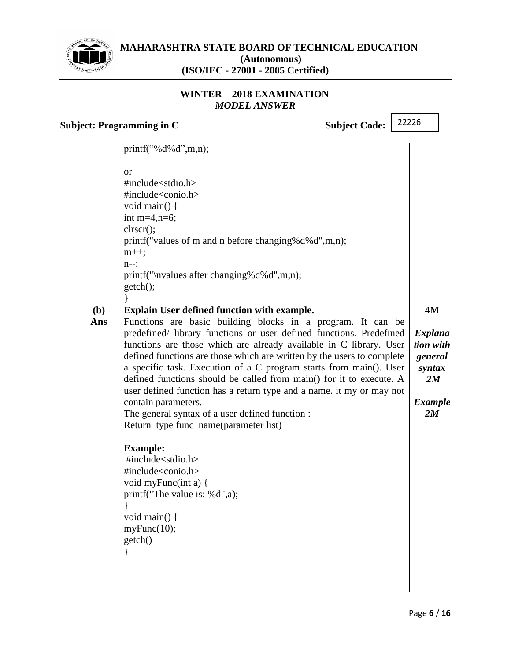

## **WINTER – 2018 EXAMINATION** *MODEL ANSWER*

# **Subject: Programming in C** Subject Code:

|            | $print(f''\&d'\&d",m,n);$<br>or<br>#include <stdio.h><br/>#include<conio.h><br/>void main() {<br/>int m=4,n=6;<br/>clrscr();<br/>printf("values of m and n before changing%d%d",m,n);<br/><math>m++</math>;<br/><math>n-</math>;<br/>printf("\nvalues after changing%d%d",m,n);<br/>getch();</conio.h></stdio.h>                                                                                                                                                                                                                                                                                                                                                                                                                                                                                                                                                                   |                                                                                             |
|------------|------------------------------------------------------------------------------------------------------------------------------------------------------------------------------------------------------------------------------------------------------------------------------------------------------------------------------------------------------------------------------------------------------------------------------------------------------------------------------------------------------------------------------------------------------------------------------------------------------------------------------------------------------------------------------------------------------------------------------------------------------------------------------------------------------------------------------------------------------------------------------------|---------------------------------------------------------------------------------------------|
| (b)<br>Ans | Explain User defined function with example.<br>Functions are basic building blocks in a program. It can be<br>predefined/ library functions or user defined functions. Predefined<br>functions are those which are already available in C library. User<br>defined functions are those which are written by the users to complete<br>a specific task. Execution of a C program starts from main(). User<br>defined functions should be called from main() for it to execute. A<br>user defined function has a return type and a name. it my or may not<br>contain parameters.<br>The general syntax of a user defined function :<br>Return_type func_name(parameter list)<br><b>Example:</b><br>#include <stdio.h><br/>#include<conio.h><br/>void myFunc(int a) {<br/>printf("The value is: %d",a);<br/>void main(<math>\}</math>{<br/>myFunc(10);<br/>getch()</conio.h></stdio.h> | <b>4M</b><br><b>Explana</b><br>tion with<br>general<br>syntax<br>2M<br><b>Example</b><br>2M |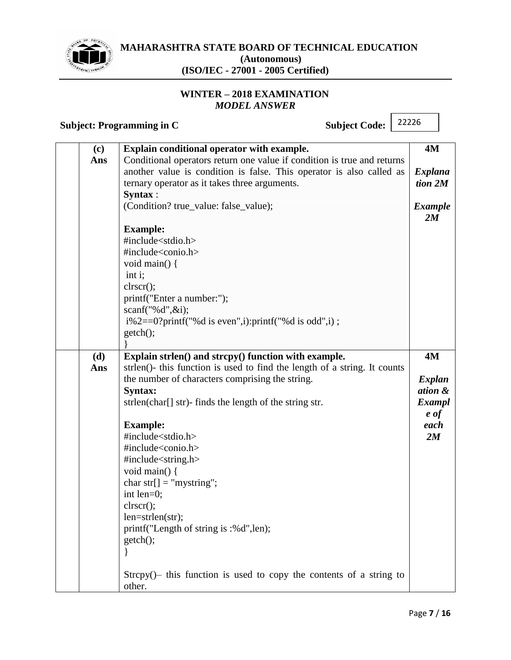

## **WINTER – 2018 EXAMINATION** *MODEL ANSWER*

**Subject: Programming in C** Subject Code:

| (c) | Explain conditional operator with example.                                | 4M                   |
|-----|---------------------------------------------------------------------------|----------------------|
| Ans | Conditional operators return one value if condition is true and returns   |                      |
|     | another value is condition is false. This operator is also called as      | Explana              |
|     | ternary operator as it takes three arguments.                             | $tion\ 2M$           |
|     | Syntax:                                                                   |                      |
|     | (Condition? true_value: false_value);                                     | <b>Example</b><br>2M |
|     | <b>Example:</b>                                                           |                      |
|     | #include <stdio.h></stdio.h>                                              |                      |
|     | #include <conio.h></conio.h>                                              |                      |
|     | void main() {                                                             |                      |
|     | int i;                                                                    |                      |
|     | clrscr();                                                                 |                      |
|     | printf("Enter a number:");                                                |                      |
|     | scanf("%d", $&$ i);                                                       |                      |
|     | $i\%2 == 0$ ?printf("%d is even", i):printf("%d is odd", i);              |                      |
|     | getch();                                                                  |                      |
|     |                                                                           |                      |
| (d) | Explain strlen() and strcpy() function with example.                      | <b>4M</b>            |
| Ans | strlen()- this function is used to find the length of a string. It counts |                      |
|     | the number of characters comprising the string.                           | <b>Explan</b>        |
|     | Syntax:                                                                   | ation &              |
|     | strlen(char[] str)- finds the length of the string str.                   | <b>Exampl</b>        |
|     |                                                                           | e of                 |
|     | <b>Example:</b>                                                           | each                 |
|     | #include <stdio.h></stdio.h>                                              | 2M                   |
|     | #include <conio.h></conio.h>                                              |                      |
|     | #include <string.h></string.h>                                            |                      |
|     | void main() {                                                             |                      |
|     | char str[] = "mystring";                                                  |                      |
|     | int len=0;                                                                |                      |
|     | $\text{clrscr}$ $\text{c}}$                                               |                      |
|     | $len = strlen(str);$                                                      |                      |
|     | printf("Length of string is :%d",len);                                    |                      |
|     | getch();                                                                  |                      |
|     |                                                                           |                      |
|     |                                                                           |                      |
|     | $Strcpy()$ this function is used to copy the contents of a string to      |                      |
|     | other.                                                                    |                      |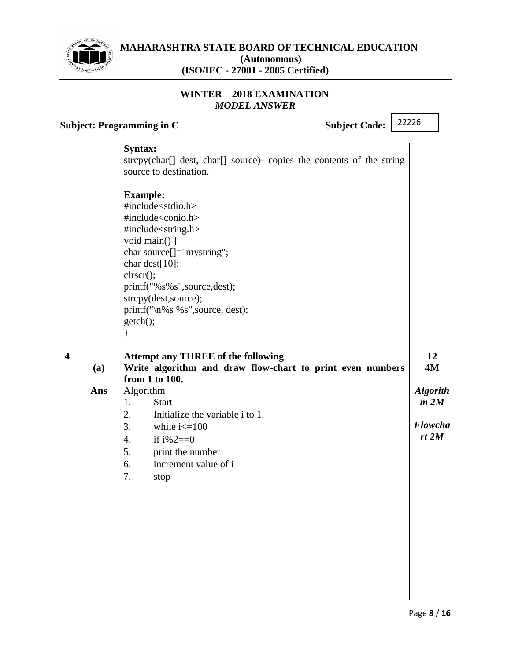

## **WINTER – 2018 EXAMINATION** *MODEL ANSWER*

# **Subject: Programming in C** Subject Code:

|                         |     | Syntax:<br>strcpy(char[] dest, char[] source)- copies the contents of the string<br>source to destination.<br><b>Example:</b><br>#include <stdio.h><br/>#include<conio.h><br/>#include<string.h><br/>void main() {<br/>char source[]="mystring";<br/>char dest[10];<br/>clrscr();<br/>printf("%s%s",source,dest);<br/>strcpy(dest, source);<br/>printf("\n%s %s",source, dest);<br/>getch();<br/>∤</string.h></conio.h></stdio.h> |                                                        |
|-------------------------|-----|-----------------------------------------------------------------------------------------------------------------------------------------------------------------------------------------------------------------------------------------------------------------------------------------------------------------------------------------------------------------------------------------------------------------------------------|--------------------------------------------------------|
| $\overline{\mathbf{4}}$ | (a) | <b>Attempt any THREE of the following</b><br>Write algorithm and draw flow-chart to print even numbers                                                                                                                                                                                                                                                                                                                            | 12<br><b>4M</b>                                        |
|                         | Ans | from 1 to 100.<br>Algorithm<br>1.<br><b>Start</b><br>Initialize the variable i to 1.<br>2.<br>3.<br>while $i\leq 100$<br>if $i\%2 == 0$<br>4.<br>5.<br>print the number<br>increment value of i<br>6.<br>7.<br>stop                                                                                                                                                                                                               | <b>Algorith</b><br>m 2M<br><b>Flowcha</b><br>$rt$ $2M$ |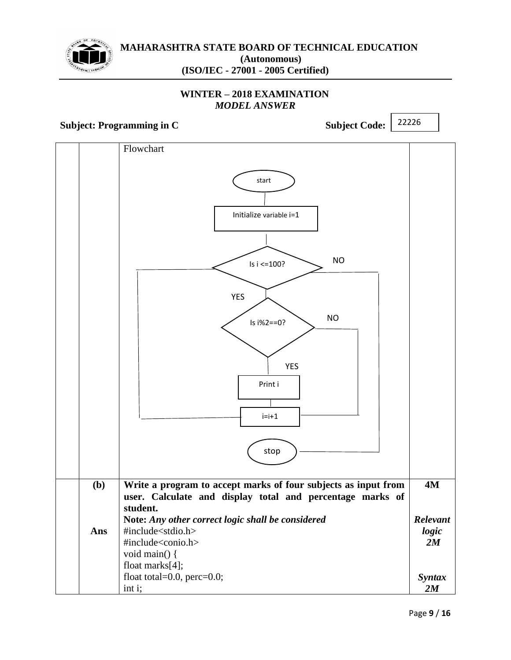

## **WINTER – 2018 EXAMINATION** *MODEL ANSWER*

**Subject: Programming in C** Subject Code:

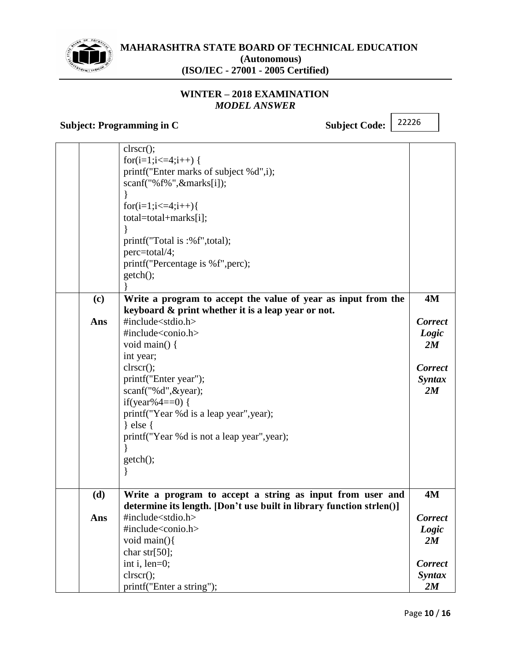

## **WINTER – 2018 EXAMINATION** *MODEL ANSWER*

**Subject: Programming in C** Subject Code:

|     | $\text{clrscr}$ $\text{c}}$                                          |                |
|-----|----------------------------------------------------------------------|----------------|
|     | for(i=1;i<=4;i++) {                                                  |                |
|     | printf("Enter marks of subject %d",i);                               |                |
|     | $scan f("% f\%", & marks[i]);$                                       |                |
|     |                                                                      |                |
|     | $for (i=1; i <=4; i++)$                                              |                |
|     | total=total+marks[i];                                                |                |
|     |                                                                      |                |
|     | printf("Total is :%f",total);                                        |                |
|     | perc=total/4;                                                        |                |
|     | printf("Percentage is %f", perc);                                    |                |
|     | getch();                                                             |                |
|     |                                                                      |                |
| (c) | Write a program to accept the value of year as input from the        | <b>4M</b>      |
|     | keyboard & print whether it is a leap year or not.                   |                |
| Ans | #include <stdio.h></stdio.h>                                         | Correct        |
|     | #include <conio.h></conio.h>                                         | Logic          |
|     | void main() {                                                        | 2M             |
|     | int year;                                                            |                |
|     | clrscr();                                                            | <b>Correct</b> |
|     | printf("Enter year");                                                | <b>Syntax</b>  |
|     | scanf("%d", & year);                                                 | 2M             |
|     | if(year%4==0) {                                                      |                |
|     | printf("Year %d is a leap year", year);                              |                |
|     | $\}$ else {                                                          |                |
|     | printf("Year %d is not a leap year", year);                          |                |
|     |                                                                      |                |
|     | getch();                                                             |                |
|     |                                                                      |                |
|     |                                                                      |                |
| (d) | Write a program to accept a string as input from user and            | 4M             |
|     | determine its length. [Don't use built in library function strlen()] |                |
| Ans | #include <stdio.h></stdio.h>                                         | <b>Correct</b> |
|     | #include <conio.h></conio.h>                                         | Logic          |
|     | void main(){                                                         | 2M             |
|     | char str $[50]$ ;                                                    |                |
|     | int i, len=0;                                                        | <b>Correct</b> |
|     | clrscr();                                                            | <b>Syntax</b>  |
|     | printf("Enter a string");                                            | 2M             |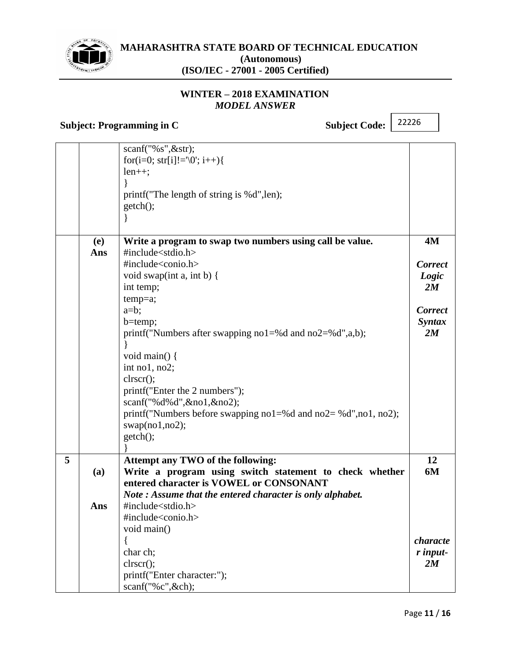

## **WINTER – 2018 EXAMINATION** *MODEL ANSWER*

# **Subject: Programming in C** Subject Code:

|   |     | $scan f("\%s", \&str str);$                                            |                |
|---|-----|------------------------------------------------------------------------|----------------|
|   |     | for(i=0; str[i]!= $\0;$ i++){                                          |                |
|   |     | $len++;$                                                               |                |
|   |     |                                                                        |                |
|   |     | printf("The length of string is %d",len);                              |                |
|   |     | getch();                                                               |                |
|   |     |                                                                        |                |
|   | (e) | Write a program to swap two numbers using call be value.               | 4M             |
|   | Ans | #include $<$ stdio.h $>$                                               |                |
|   |     | #include <conio.h></conio.h>                                           | <b>Correct</b> |
|   |     | void swap(int a, int b) {                                              | Logic          |
|   |     | int temp;                                                              | 2M             |
|   |     | $temp=a;$                                                              |                |
|   |     | $a=b;$                                                                 | <b>Correct</b> |
|   |     | $b = temp;$                                                            | <b>Syntax</b>  |
|   |     | printf("Numbers after swapping no1=%d and no2=%d",a,b);                | 2M             |
|   |     |                                                                        |                |
|   |     | void main() {                                                          |                |
|   |     | int no1, no2;                                                          |                |
|   |     | clrscr();                                                              |                |
|   |     | printf("Enter the 2 numbers");                                         |                |
|   |     | scanf("%d%d",&no1,&no2);                                               |                |
|   |     | printf("Numbers before swapping $no1 = %d$ and $no2 = %d", no1, no2);$ |                |
|   |     | swap(no1, no2);                                                        |                |
|   |     | getch();                                                               |                |
|   |     |                                                                        |                |
| 5 |     | Attempt any TWO of the following:                                      | 12             |
|   | (a) | Write a program using switch statement to check whether                | 6M             |
|   |     | entered character is VOWEL or CONSONANT                                |                |
|   |     | Note: Assume that the entered character is only alphabet.              |                |
|   | Ans | #include $<$ stdio.h $>$                                               |                |
|   |     | #include <conio.h></conio.h>                                           |                |
|   |     | void main()                                                            |                |
|   |     |                                                                        | characte       |
|   |     | char ch;                                                               | r input-       |
|   |     | clrscr();                                                              | 2M             |
|   |     | printf("Enter character:");                                            |                |
|   |     | scanf("%c",&ch);                                                       |                |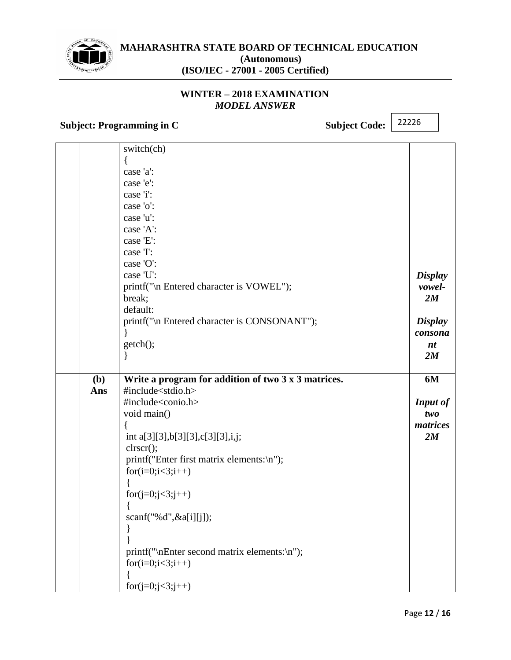

## **WINTER – 2018 EXAMINATION** *MODEL ANSWER*

# **Subject: Programming in C** Subject Code:

|     | switch(ch)                                          |                 |
|-----|-----------------------------------------------------|-----------------|
|     | ₹                                                   |                 |
|     | case 'a':                                           |                 |
|     | case 'e':                                           |                 |
|     | case 'i':                                           |                 |
|     | case 'o':                                           |                 |
|     | case 'u':                                           |                 |
|     | case 'A':                                           |                 |
|     | case 'E':                                           |                 |
|     | case 'I':                                           |                 |
|     | case 'O':                                           |                 |
|     | case 'U':                                           | <b>Display</b>  |
|     | printf("\n Entered character is VOWEL");            | vowel-          |
|     | break;                                              | 2M              |
|     | default:                                            |                 |
|     | printf("\n Entered character is CONSONANT");        | <b>Display</b>  |
|     |                                                     | consona         |
|     | getch();                                            | nt              |
|     |                                                     | 2M              |
|     |                                                     |                 |
| (b) | Write a program for addition of two 3 x 3 matrices. | 6M              |
|     |                                                     |                 |
| Ans | #include <stdio.h></stdio.h>                        |                 |
|     | #include <conio.h></conio.h>                        | <b>Input of</b> |
|     | void main()                                         | two             |
|     |                                                     | matrices        |
|     | int a[3][3], b[3][3], c[3][3], i, j;                | 2M              |
|     | clrscr();                                           |                 |
|     | printf("Enter first matrix elements:\n");           |                 |
|     | $for(i=0;i<3;i++)$                                  |                 |
|     |                                                     |                 |
|     | $for(j=0;j<3;j++)$                                  |                 |
|     |                                                     |                 |
|     | scanf("%d",&a[i][j]);                               |                 |
|     |                                                     |                 |
|     |                                                     |                 |
|     | printf("\nEnter second matrix elements:\n");        |                 |
|     | $for(i=0;i<3;i++)$                                  |                 |
|     | $for(j=0;j<3;j++)$                                  |                 |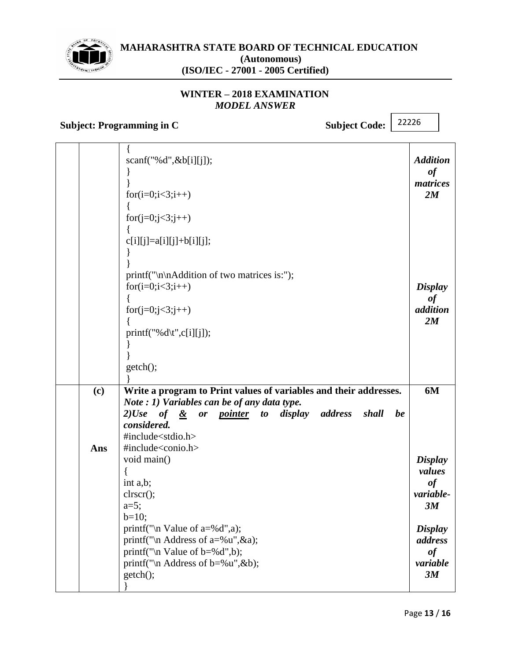

## **WINTER – 2018 EXAMINATION** *MODEL ANSWER*

# **Subject: Programming in C** Subject Code:

|     | scan f("% d", & b[i][j]);                                                  | <b>Addition</b><br>of      |
|-----|----------------------------------------------------------------------------|----------------------------|
|     | $for(i=0;i<3;i++)$                                                         | matrices<br>2M             |
|     | $for(j=0;j<3;j++)$                                                         |                            |
|     | $c[i][j]=a[i][j]+b[i][j];$                                                 |                            |
|     | printf("\n\nAddition of two matrices is:");<br>for $(i=0; i<3; i++)$       | <b>Display</b>             |
|     | $for(j=0;j<3;j++)$                                                         | $\it of$<br>addition<br>2M |
|     | $printf("%d\t",c[i][j]);$                                                  |                            |
|     | getch();                                                                   |                            |
| (c) | Write a program to Print values of variables and their addresses.          | 6M                         |
|     | Note : 1) Variables can be of any data type.                               |                            |
|     | $2) Use of \& or pointer to display address$<br>shall<br>be<br>considered. |                            |
|     | #include <stdio.h></stdio.h>                                               |                            |
| Ans | #include <conio.h></conio.h>                                               |                            |
|     | void main()                                                                | <b>Display</b>             |
|     | int a,b;                                                                   | values<br>of               |
|     | clrscr();                                                                  | variable-                  |
|     | $a=5$ ;                                                                    | 3M                         |
|     | $b=10;$<br>printf("\n Value of $a=$ %d",a);                                |                            |
|     | printf("\n Address of a=%u", &a);                                          | <b>Display</b><br>address  |
|     | printf("\n Value of $b = %d", b$ );                                        | of                         |
|     | printf("\n Address of $b = %u", \& b;$                                     | variable                   |
|     | getch();                                                                   | 3M                         |
|     |                                                                            |                            |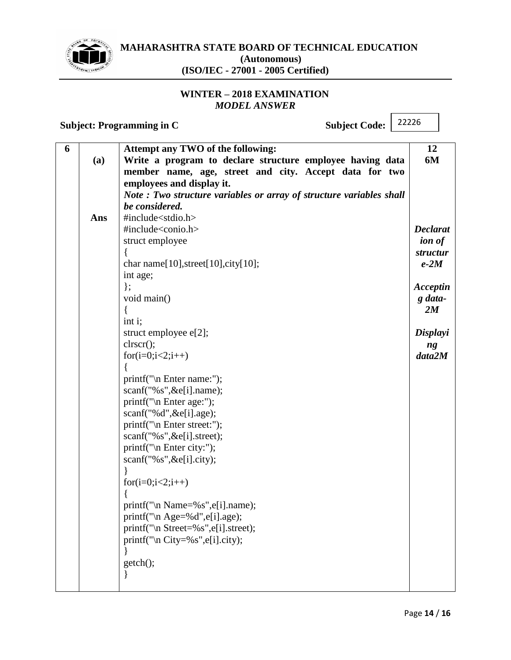

## **WINTER – 2018 EXAMINATION** *MODEL ANSWER*

**Subject: Programming in C** Subject Code:

| 6 |     | Attempt any TWO of the following:                                   | 12              |
|---|-----|---------------------------------------------------------------------|-----------------|
|   | (a) | Write a program to declare structure employee having data           | 6M              |
|   |     | member name, age, street and city. Accept data for two              |                 |
|   |     | employees and display it.                                           |                 |
|   |     | Note: Two structure variables or array of structure variables shall |                 |
|   |     | be considered.                                                      |                 |
|   | Ans | #include <stdio.h></stdio.h>                                        |                 |
|   |     | #include <conio.h></conio.h>                                        | <b>Declarat</b> |
|   |     | struct employee                                                     | <i>ion of</i>   |
|   |     |                                                                     | structur        |
|   |     | char name[ $10$ ], street[ $10$ ], city[ $10$ ];                    | $e-2M$          |
|   |     | int age;                                                            |                 |
|   |     | $\}$                                                                | Acceptin        |
|   |     | void main()                                                         | g data-         |
|   |     |                                                                     | 2M              |
|   |     | int i;                                                              |                 |
|   |     | struct employee e[2];                                               | Displayi        |
|   |     | clrscr();                                                           | ng              |
|   |     | $for(i=0;i<2;i++)$                                                  | data2M          |
|   |     |                                                                     |                 |
|   |     | printf("\n Enter name:");                                           |                 |
|   |     | $scan f("\%s", \&e[i].name);$                                       |                 |
|   |     | printf("\n Enter age:");                                            |                 |
|   |     | $scan f("%d", \&e[i].age);$                                         |                 |
|   |     | $print('\\n Enter street:");$                                       |                 |
|   |     | scanf("%s", & e[i]. street);                                        |                 |
|   |     | printf("\n Enter city:");                                           |                 |
|   |     | $scan f("\%s", \&e[i].city);$                                       |                 |
|   |     |                                                                     |                 |
|   |     | $for(i=0;i<2;i++)$                                                  |                 |
|   |     |                                                                     |                 |
|   |     | printf("\n Name=%s",e[i].name);                                     |                 |
|   |     | printf("\n Age=%d",e[i].age);                                       |                 |
|   |     | printf("\n Street=%s",e[i].street);                                 |                 |
|   |     | printf("\n City=%s",e[i].city);                                     |                 |
|   |     |                                                                     |                 |
|   |     | getch();                                                            |                 |
|   |     |                                                                     |                 |
|   |     |                                                                     |                 |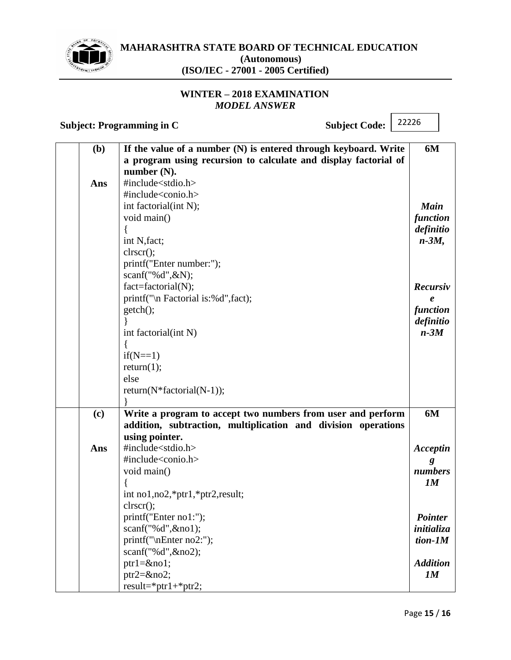

## **WINTER – 2018 EXAMINATION** *MODEL ANSWER*

**Subject: Programming in C** Subject Code: 22226 **(b) Ans If the value of a number (N) is entered through keyboard. Write a program using recursion to calculate and display factorial of number (N).** #include<stdio.h> #include<conio.h> int factorial(int N); void main() { int N,fact; clrscr(); printf("Enter number:"); scanf("%d",&N); fact=factorial(N); printf("\n Factorial is:%d",fact); getch(); } int factorial(int N) {  $if(N==1)$  $return(1);$ else return(N\*factorial(N-1)); } **6M** *Main function definitio n-3M, Recursiv e function definitio n-3M* **(c) Ans Write a program to accept two numbers from user and perform addition, subtraction, multiplication and division operations using pointer.** #include<stdio.h> #include<conio.h> void main() { int no1,no2,\*ptr1,\*ptr2,result; clrscr(); printf("Enter no1:"); scanf("%d",&no1); printf("\nEnter no2:"); scanf("%d",&no2); ptr1=&no1; ptr2=&no2; result=\*ptr1+\*ptr2; **6M** *Acceptin g numbers 1M Pointer initializa tion-1M Addition 1M*